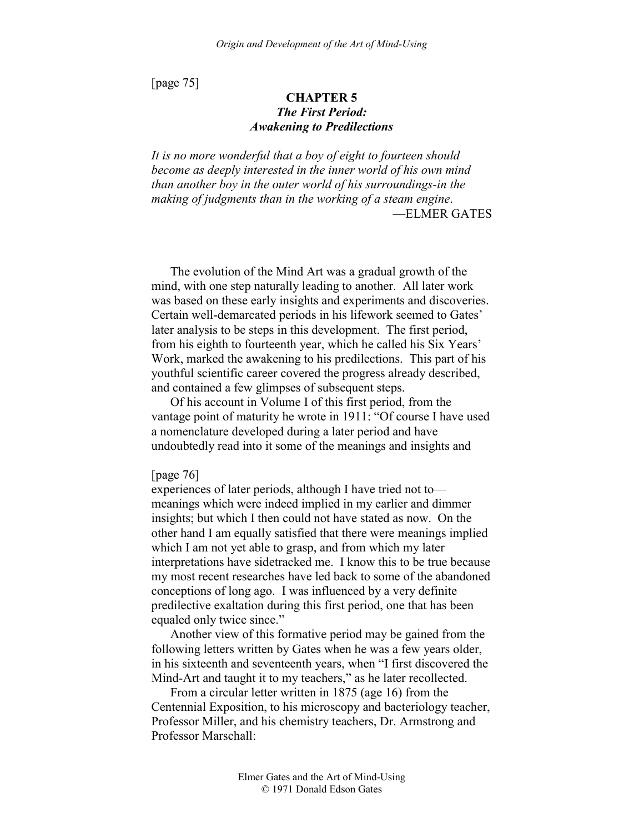[page 75]

# **CHAPTER 5**  *The First Period: Awakening to Predilections*

*It is no more wonderful that a boy of eight to fourteen should become as deeply interested in the inner world of his own mind than another boy in the outer world of his surroundings-in the making of judgments than in the working of a steam engine*. —ELMER GATES

The evolution of the Mind Art was a gradual growth of the mind, with one step naturally leading to another. All later work was based on these early insights and experiments and discoveries. Certain well-demarcated periods in his lifework seemed to Gates' later analysis to be steps in this development. The first period, from his eighth to fourteenth year, which he called his Six Years' Work, marked the awakening to his predilections. This part of his youthful scientific career covered the progress already described, and contained a few glimpses of subsequent steps.

Of his account in Volume I of this first period, from the vantage point of maturity he wrote in 1911: "Of course I have used a nomenclature developed during a later period and have undoubtedly read into it some of the meanings and insights and

#### [page 76]

experiences of later periods, although I have tried not to meanings which were indeed implied in my earlier and dimmer insights; but which I then could not have stated as now. On the other hand I am equally satisfied that there were meanings implied which I am not yet able to grasp, and from which my later interpretations have sidetracked me. I know this to be true because my most recent researches have led back to some of the abandoned conceptions of long ago. I was influenced by a very definite predilective exaltation during this first period, one that has been equaled only twice since."

Another view of this formative period may be gained from the following letters written by Gates when he was a few years older, in his sixteenth and seventeenth years, when "I first discovered the Mind-Art and taught it to my teachers," as he later recollected.

From a circular letter written in 1875 (age 16) from the Centennial Exposition, to his microscopy and bacteriology teacher, Professor Miller, and his chemistry teachers, Dr. Armstrong and Professor Marschall: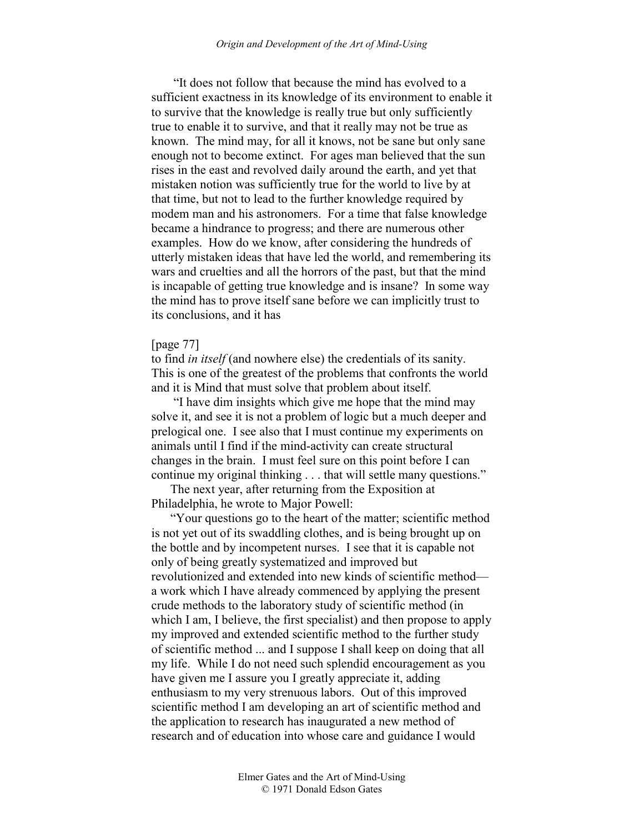"It does not follow that because the mind has evolved to a sufficient exactness in its knowledge of its environment to enable it to survive that the knowledge is really true but only sufficiently true to enable it to survive, and that it really may not be true as known. The mind may, for all it knows, not be sane but only sane enough not to become extinct. For ages man believed that the sun rises in the east and revolved daily around the earth, and yet that mistaken notion was sufficiently true for the world to live by at that time, but not to lead to the further knowledge required by modem man and his astronomers. For a time that false knowledge became a hindrance to progress; and there are numerous other examples. How do we know, after considering the hundreds of utterly mistaken ideas that have led the world, and remembering its wars and cruelties and all the horrors of the past, but that the mind is incapable of getting true knowledge and is insane? In some way the mind has to prove itself sane before we can implicitly trust to its conclusions, and it has

### [page 77]

to find *in itself* (and nowhere else) the credentials of its sanity. This is one of the greatest of the problems that confronts the world and it is Mind that must solve that problem about itself.

 "I have dim insights which give me hope that the mind may solve it, and see it is not a problem of logic but a much deeper and prelogical one. I see also that I must continue my experiments on animals until I find if the mind-activity can create structural changes in the brain. I must feel sure on this point before I can continue my original thinking . . . that will settle many questions."

The next year, after returning from the Exposition at Philadelphia, he wrote to Major Powell:

"Your questions go to the heart of the matter; scientific method is not yet out of its swaddling clothes, and is being brought up on the bottle and by incompetent nurses. I see that it is capable not only of being greatly systematized and improved but revolutionized and extended into new kinds of scientific method a work which I have already commenced by applying the present crude methods to the laboratory study of scientific method (in which I am, I believe, the first specialist) and then propose to apply my improved and extended scientific method to the further study of scientific method ... and I suppose I shall keep on doing that all my life. While I do not need such splendid encouragement as you have given me I assure you I greatly appreciate it, adding enthusiasm to my very strenuous labors. Out of this improved scientific method I am developing an art of scientific method and the application to research has inaugurated a new method of research and of education into whose care and guidance I would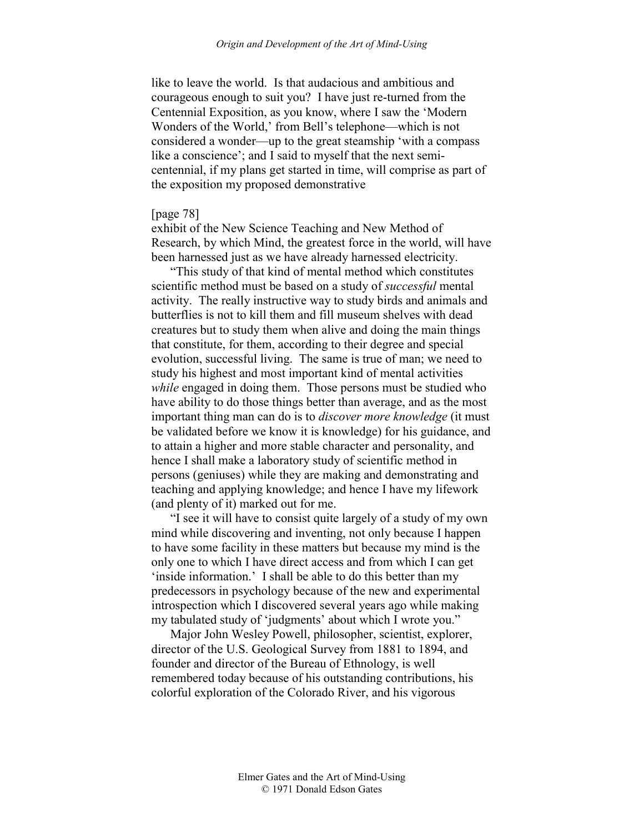like to leave the world. Is that audacious and ambitious and courageous enough to suit you? I have just re-turned from the Centennial Exposition, as you know, where I saw the 'Modern Wonders of the World,' from Bell's telephone—which is not considered a wonder—up to the great steamship 'with a compass like a conscience'; and I said to myself that the next semicentennial, if my plans get started in time, will comprise as part of the exposition my proposed demonstrative

# [page 78]

exhibit of the New Science Teaching and New Method of Research, by which Mind, the greatest force in the world, will have been harnessed just as we have already harnessed electricity.

"This study of that kind of mental method which constitutes scientific method must be based on a study of *successful* mental activity. The really instructive way to study birds and animals and butterflies is not to kill them and fill museum shelves with dead creatures but to study them when alive and doing the main things that constitute, for them, according to their degree and special evolution, successful living. The same is true of man; we need to study his highest and most important kind of mental activities *while* engaged in doing them. Those persons must be studied who have ability to do those things better than average, and as the most important thing man can do is to *discover more knowledge* (it must be validated before we know it is knowledge) for his guidance, and to attain a higher and more stable character and personality, and hence I shall make a laboratory study of scientific method in persons (geniuses) while they are making and demonstrating and teaching and applying knowledge; and hence I have my lifework (and plenty of it) marked out for me.

"I see it will have to consist quite largely of a study of my own mind while discovering and inventing, not only because I happen to have some facility in these matters but because my mind is the only one to which I have direct access and from which I can get 'inside information.' I shall be able to do this better than my predecessors in psychology because of the new and experimental introspection which I discovered several years ago while making my tabulated study of 'judgments' about which I wrote you."

Major John Wesley Powell, philosopher, scientist, explorer, director of the U.S. Geological Survey from 1881 to 1894, and founder and director of the Bureau of Ethnology, is well remembered today because of his outstanding contributions, his colorful exploration of the Colorado River, and his vigorous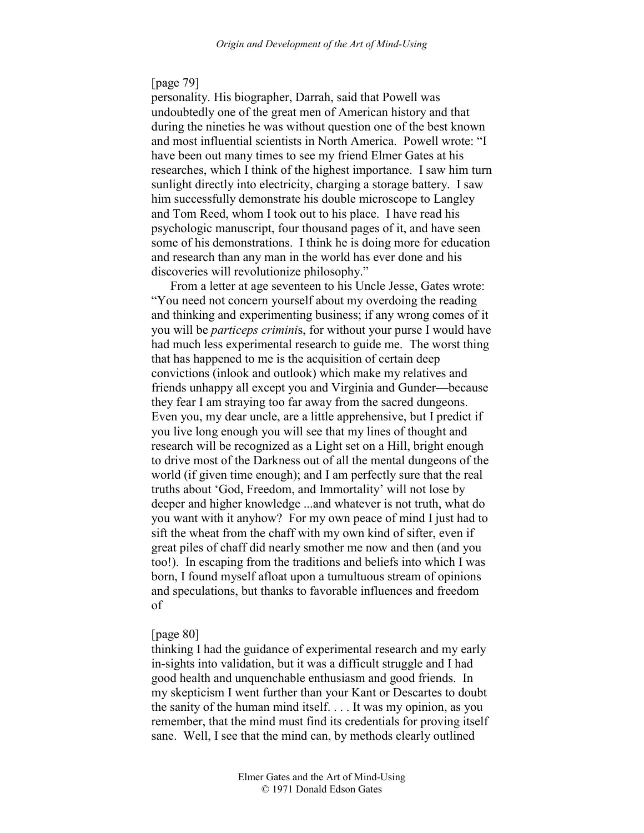# [page 79]

personality. His biographer, Darrah, said that Powell was undoubtedly one of the great men of American history and that during the nineties he was without question one of the best known and most influential scientists in North America. Powell wrote: "I have been out many times to see my friend Elmer Gates at his researches, which I think of the highest importance. I saw him turn sunlight directly into electricity, charging a storage battery. I saw him successfully demonstrate his double microscope to Langley and Tom Reed, whom I took out to his place. I have read his psychologic manuscript, four thousand pages of it, and have seen some of his demonstrations. I think he is doing more for education and research than any man in the world has ever done and his discoveries will revolutionize philosophy."

From a letter at age seventeen to his Uncle Jesse, Gates wrote: "You need not concern yourself about my overdoing the reading and thinking and experimenting business; if any wrong comes of it you will be *particeps crimini*s, for without your purse I would have had much less experimental research to guide me. The worst thing that has happened to me is the acquisition of certain deep convictions (inlook and outlook) which make my relatives and friends unhappy all except you and Virginia and Gunder—because they fear I am straying too far away from the sacred dungeons. Even you, my dear uncle, are a little apprehensive, but I predict if you live long enough you will see that my lines of thought and research will be recognized as a Light set on a Hill, bright enough to drive most of the Darkness out of all the mental dungeons of the world (if given time enough); and I am perfectly sure that the real truths about 'God, Freedom, and Immortality' will not lose by deeper and higher knowledge ...and whatever is not truth, what do you want with it anyhow? For my own peace of mind I just had to sift the wheat from the chaff with my own kind of sifter, even if great piles of chaff did nearly smother me now and then (and you too!). In escaping from the traditions and beliefs into which I was born, I found myself afloat upon a tumultuous stream of opinions and speculations, but thanks to favorable influences and freedom of

### [page 80]

thinking I had the guidance of experimental research and my early in-sights into validation, but it was a difficult struggle and I had good health and unquenchable enthusiasm and good friends. In my skepticism I went further than your Kant or Descartes to doubt the sanity of the human mind itself. . . . It was my opinion, as you remember, that the mind must find its credentials for proving itself sane. Well, I see that the mind can, by methods clearly outlined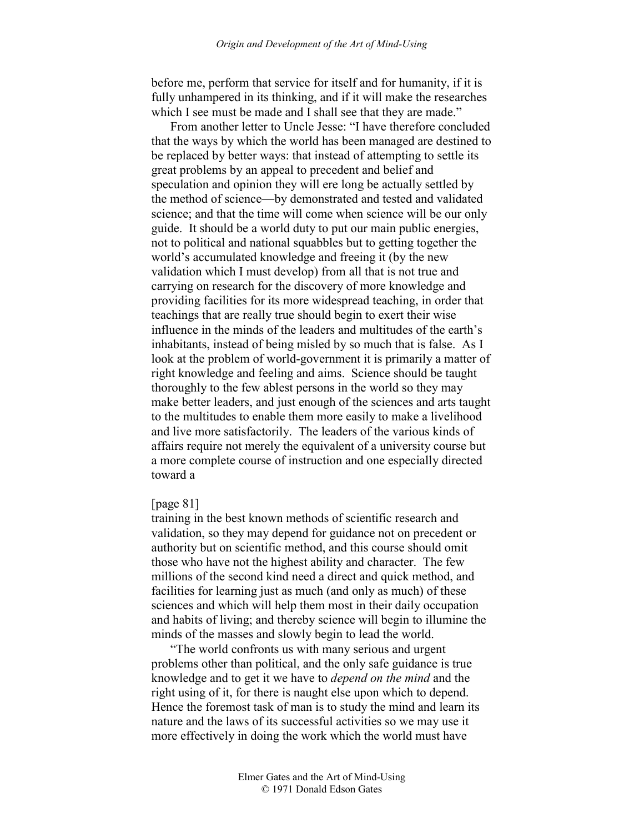before me, perform that service for itself and for humanity, if it is fully unhampered in its thinking, and if it will make the researches which I see must be made and I shall see that they are made."

From another letter to Uncle Jesse: "I have therefore concluded that the ways by which the world has been managed are destined to be replaced by better ways: that instead of attempting to settle its great problems by an appeal to precedent and belief and speculation and opinion they will ere long be actually settled by the method of science—by demonstrated and tested and validated science; and that the time will come when science will be our only guide. It should be a world duty to put our main public energies, not to political and national squabbles but to getting together the world's accumulated knowledge and freeing it (by the new validation which I must develop) from all that is not true and carrying on research for the discovery of more knowledge and providing facilities for its more widespread teaching, in order that teachings that are really true should begin to exert their wise influence in the minds of the leaders and multitudes of the earth's inhabitants, instead of being misled by so much that is false. As I look at the problem of world-government it is primarily a matter of right knowledge and feeling and aims. Science should be taught thoroughly to the few ablest persons in the world so they may make better leaders, and just enough of the sciences and arts taught to the multitudes to enable them more easily to make a livelihood and live more satisfactorily. The leaders of the various kinds of affairs require not merely the equivalent of a university course but a more complete course of instruction and one especially directed toward a

# [page 81]

training in the best known methods of scientific research and validation, so they may depend for guidance not on precedent or authority but on scientific method, and this course should omit those who have not the highest ability and character. The few millions of the second kind need a direct and quick method, and facilities for learning just as much (and only as much) of these sciences and which will help them most in their daily occupation and habits of living; and thereby science will begin to illumine the minds of the masses and slowly begin to lead the world.

"The world confronts us with many serious and urgent problems other than political, and the only safe guidance is true knowledge and to get it we have to *depend on the mind* and the right using of it, for there is naught else upon which to depend. Hence the foremost task of man is to study the mind and learn its nature and the laws of its successful activities so we may use it more effectively in doing the work which the world must have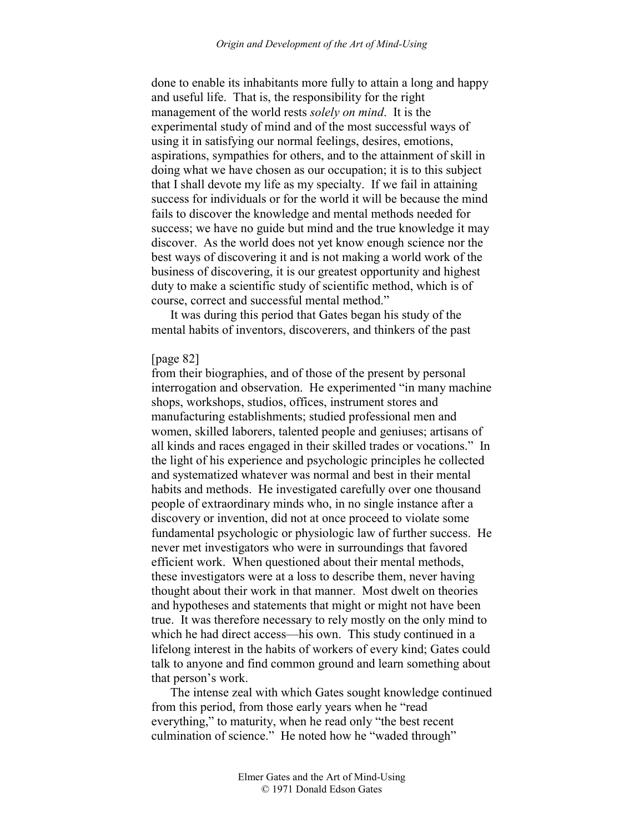done to enable its inhabitants more fully to attain a long and happy and useful life. That is, the responsibility for the right management of the world rests *solely on mind*. It is the experimental study of mind and of the most successful ways of using it in satisfying our normal feelings, desires, emotions, aspirations, sympathies for others, and to the attainment of skill in doing what we have chosen as our occupation; it is to this subject that I shall devote my life as my specialty. If we fail in attaining success for individuals or for the world it will be because the mind fails to discover the knowledge and mental methods needed for success; we have no guide but mind and the true knowledge it may discover. As the world does not yet know enough science nor the best ways of discovering it and is not making a world work of the business of discovering, it is our greatest opportunity and highest duty to make a scientific study of scientific method, which is of course, correct and successful mental method."

It was during this period that Gates began his study of the mental habits of inventors, discoverers, and thinkers of the past

# [page 82]

from their biographies, and of those of the present by personal interrogation and observation. He experimented "in many machine shops, workshops, studios, offices, instrument stores and manufacturing establishments; studied professional men and women, skilled laborers, talented people and geniuses; artisans of all kinds and races engaged in their skilled trades or vocations." In the light of his experience and psychologic principles he collected and systematized whatever was normal and best in their mental habits and methods. He investigated carefully over one thousand people of extraordinary minds who, in no single instance after a discovery or invention, did not at once proceed to violate some fundamental psychologic or physiologic law of further success. He never met investigators who were in surroundings that favored efficient work. When questioned about their mental methods, these investigators were at a loss to describe them, never having thought about their work in that manner. Most dwelt on theories and hypotheses and statements that might or might not have been true. It was therefore necessary to rely mostly on the only mind to which he had direct access—his own. This study continued in a lifelong interest in the habits of workers of every kind; Gates could talk to anyone and find common ground and learn something about that person's work.

The intense zeal with which Gates sought knowledge continued from this period, from those early years when he "read everything," to maturity, when he read only "the best recent culmination of science." He noted how he "waded through"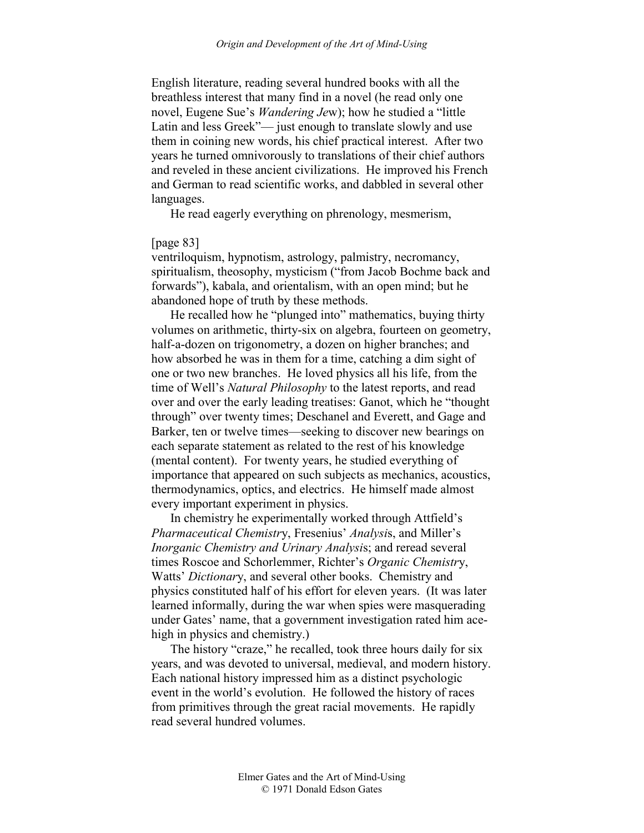English literature, reading several hundred books with all the breathless interest that many find in a novel (he read only one novel, Eugene Sue's *Wandering Je*w); how he studied a "little Latin and less Greek"— just enough to translate slowly and use them in coining new words, his chief practical interest. After two years he turned omnivorously to translations of their chief authors and reveled in these ancient civilizations. He improved his French and German to read scientific works, and dabbled in several other languages.

He read eagerly everything on phrenology, mesmerism,

### [page 83]

ventriloquism, hypnotism, astrology, palmistry, necromancy, spiritualism, theosophy, mysticism ("from Jacob Bochme back and forwards"), kabala, and orientalism, with an open mind; but he abandoned hope of truth by these methods.

He recalled how he "plunged into" mathematics, buying thirty volumes on arithmetic, thirty-six on algebra, fourteen on geometry, half-a-dozen on trigonometry, a dozen on higher branches; and how absorbed he was in them for a time, catching a dim sight of one or two new branches. He loved physics all his life, from the time of Well's *Natural Philosophy* to the latest reports, and read over and over the early leading treatises: Ganot, which he "thought through" over twenty times; Deschanel and Everett, and Gage and Barker, ten or twelve times—seeking to discover new bearings on each separate statement as related to the rest of his knowledge (mental content). For twenty years, he studied everything of importance that appeared on such subjects as mechanics, acoustics, thermodynamics, optics, and electrics. He himself made almost every important experiment in physics.

In chemistry he experimentally worked through Attfield's *Pharmaceutical Chemistr*y, Fresenius' *Analysi*s, and Miller's *Inorganic Chemistry and Urinary Analysi*s; and reread several times Roscoe and Schorlemmer, Richter's *Organic Chemistr*y, Watts' *Dictionar*y, and several other books. Chemistry and physics constituted half of his effort for eleven years. (It was later learned informally, during the war when spies were masquerading under Gates' name, that a government investigation rated him acehigh in physics and chemistry.)

The history "craze," he recalled, took three hours daily for six years, and was devoted to universal, medieval, and modern history. Each national history impressed him as a distinct psychologic event in the world's evolution. He followed the history of races from primitives through the great racial movements. He rapidly read several hundred volumes.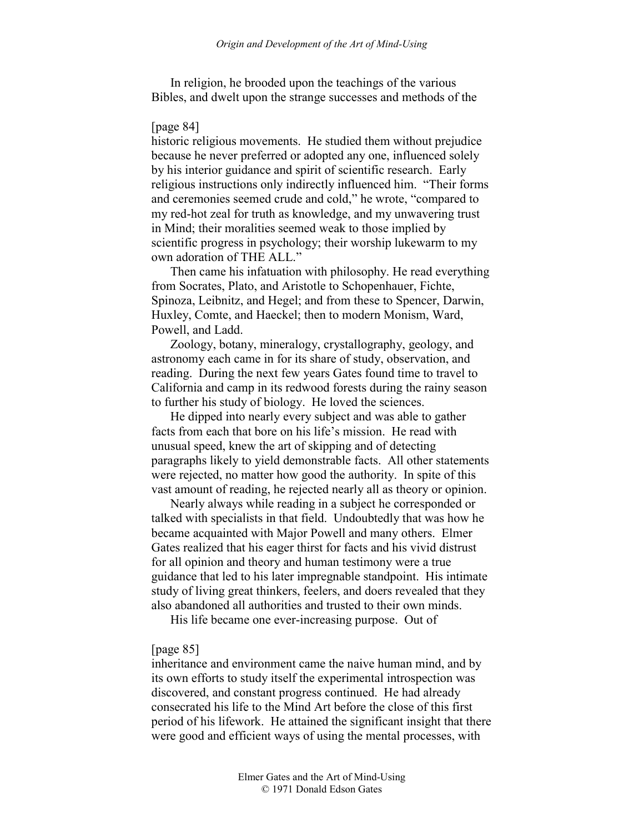In religion, he brooded upon the teachings of the various Bibles, and dwelt upon the strange successes and methods of the

# [page 84]

historic religious movements. He studied them without prejudice because he never preferred or adopted any one, influenced solely by his interior guidance and spirit of scientific research. Early religious instructions only indirectly influenced him. "Their forms and ceremonies seemed crude and cold," he wrote, "compared to my red-hot zeal for truth as knowledge, and my unwavering trust in Mind; their moralities seemed weak to those implied by scientific progress in psychology; their worship lukewarm to my own adoration of THE ALL."

Then came his infatuation with philosophy. He read everything from Socrates, Plato, and Aristotle to Schopenhauer, Fichte, Spinoza, Leibnitz, and Hegel; and from these to Spencer, Darwin, Huxley, Comte, and Haeckel; then to modern Monism, Ward, Powell, and Ladd.

Zoology, botany, mineralogy, crystallography, geology, and astronomy each came in for its share of study, observation, and reading. During the next few years Gates found time to travel to California and camp in its redwood forests during the rainy season to further his study of biology. He loved the sciences.

He dipped into nearly every subject and was able to gather facts from each that bore on his life's mission. He read with unusual speed, knew the art of skipping and of detecting paragraphs likely to yield demonstrable facts. All other statements were rejected, no matter how good the authority. In spite of this vast amount of reading, he rejected nearly all as theory or opinion.

Nearly always while reading in a subject he corresponded or talked with specialists in that field. Undoubtedly that was how he became acquainted with Major Powell and many others. Elmer Gates realized that his eager thirst for facts and his vivid distrust for all opinion and theory and human testimony were a true guidance that led to his later impregnable standpoint. His intimate study of living great thinkers, feelers, and doers revealed that they also abandoned all authorities and trusted to their own minds.

His life became one ever-increasing purpose. Out of

# [page 85]

inheritance and environment came the naive human mind, and by its own efforts to study itself the experimental introspection was discovered, and constant progress continued. He had already consecrated his life to the Mind Art before the close of this first period of his lifework. He attained the significant insight that there were good and efficient ways of using the mental processes, with